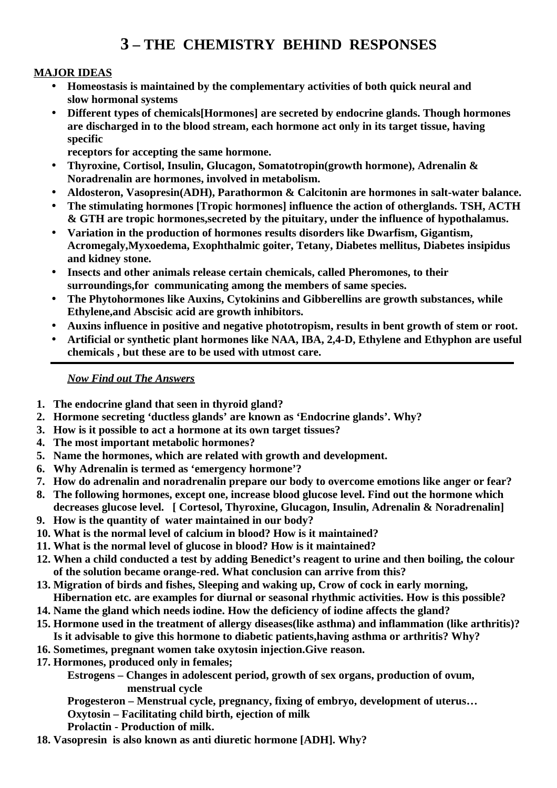## **3 – THE CHEMISTRY BEHIND RESPONSES**

## **MAJOR IDEAS**

- **Homeostasis is maintained by the complementary activities of both quick neural and slow hormonal systems**
- **Different types of chemicals[Hormones] are secreted by endocrine glands. Though hormones are discharged in to the blood stream, each hormone act only in its target tissue, having specific**
	- **receptors for accepting the same hormone.**
- **Thyroxine, Cortisol, Insulin, Glucagon, Somatotropin(growth hormone), Adrenalin & Noradrenalin are hormones, involved in metabolism.**
- **Aldosteron, Vasopresin(ADH), Parathormon & Calcitonin are hormones in salt-water balance.**
- **The stimulating hormones [Tropic hormones] influence the action of otherglands. TSH, ACTH & GTH are tropic hormones,secreted by the pituitary, under the influence of hypothalamus.**
- **Variation in the production of hormones results disorders like Dwarfism, Gigantism, Acromegaly,Myxoedema, Exophthalmic goiter, Tetany, Diabetes mellitus, Diabetes insipidus and kidney stone.**
- **Insects and other animals release certain chemicals, called Pheromones, to their surroundings,for communicating among the members of same species.**
- **The Phytohormones like Auxins, Cytokinins and Gibberellins are growth substances, while Ethylene,and Abscisic acid are growth inhibitors.**
- **Auxins influence in positive and negative phototropism, results in bent growth of stem or root.**
- **Artificial or synthetic plant hormones like NAA, IBA, 2,4-D, Ethylene and Ethyphon are useful chemicals , but these are to be used with utmost care.**

*Now Find out The Answers*

- **1. The endocrine gland that seen in thyroid gland?**
- **2. Hormone secreting 'ductless glands' are known as 'Endocrine glands'. Why?**
- **3. How is it possible to act a hormone at its own target tissues?**
- **4. The most important metabolic hormones?**
- **5. Name the hormones, which are related with growth and development.**
- **6. Why Adrenalin is termed as 'emergency hormone'?**
- **7. How do adrenalin and noradrenalin prepare our body to overcome emotions like anger or fear?**
- **8. The following hormones, except one, increase blood glucose level. Find out the hormone which decreases glucose level. [ Cortesol, Thyroxine, Glucagon, Insulin, Adrenalin & Noradrenalin]**
- **9. How is the quantity of water maintained in our body?**
- **10. What is the normal level of calcium in blood? How is it maintained?**
- **11. What is the normal level of glucose in blood? How is it maintained?**
- **12. When a child conducted a test by adding Benedict's reagent to urine and then boiling, the colour of the solution became orange-red. What conclusion can arrive from this?**
- **13. Migration of birds and fishes, Sleeping and waking up, Crow of cock in early morning, Hibernation etc. are examples for diurnal or seasonal rhythmic activities. How is this possible?**
- **14. Name the gland which needs iodine. How the deficiency of iodine affects the gland?**
- **15. Hormone used in the treatment of allergy diseases(like asthma) and inflammation (like arthritis)? Is it advisable to give this hormone to diabetic patients,having asthma or arthritis? Why?**
- **16. Sometimes, pregnant women take oxytosin injection.Give reason.**
- **17. Hormones, produced only in females;**

**Estrogens – Changes in adolescent period, growth of sex organs, production of ovum, menstrual cycle**

**Progesteron – Menstrual cycle, pregnancy, fixing of embryo, development of uterus… Oxytosin – Facilitating child birth, ejection of milk**

**Prolactin - Production of milk.**

**18. Vasopresin is also known as anti diuretic hormone [ADH]. Why?**